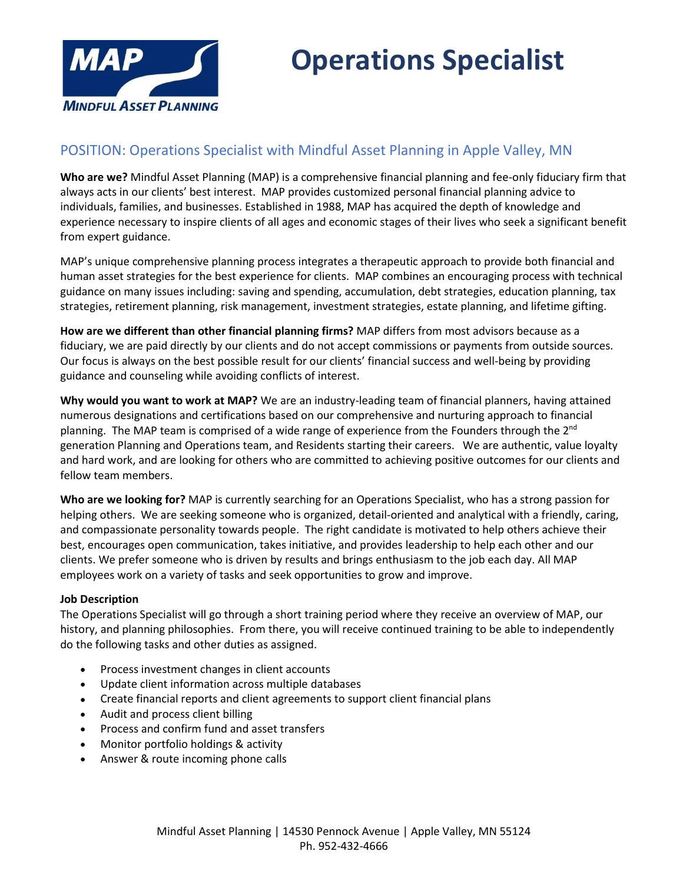

## **Operations Specialist**

### POSITION: Operations Specialist with Mindful Asset Planning in Apple Valley, MN

**Who are we?** Mindful Asset Planning (MAP) is a comprehensive financial planning and fee-only fiduciary firm that always acts in our clients' best interest. MAP provides customized personal financial planning advice to individuals, families, and businesses. Established in 1988, MAP has acquired the depth of knowledge and experience necessary to inspire clients of all ages and economic stages of their lives who seek a significant benefit from expert guidance.

MAP's unique comprehensive planning process integrates a therapeutic approach to provide both financial and human asset strategies for the best experience for clients. MAP combines an encouraging process with technical guidance on many issues including: saving and spending, accumulation, debt strategies, education planning, tax strategies, retirement planning, risk management, investment strategies, estate planning, and lifetime gifting.

**How are we different than other financial planning firms?** MAP differs from most advisors because as a fiduciary, we are paid directly by our clients and do not accept commissions or payments from outside sources. Our focus is always on the best possible result for our clients' financial success and well-being by providing guidance and counseling while avoiding conflicts of interest.

**Why would you want to work at MAP?** We are an industry-leading team of financial planners, having attained numerous designations and certifications based on our comprehensive and nurturing approach to financial planning. The MAP team is comprised of a wide range of experience from the Founders through the 2<sup>nd</sup> generation Planning and Operations team, and Residents starting their careers. We are authentic, value loyalty and hard work, and are looking for others who are committed to achieving positive outcomes for our clients and fellow team members.

**Who are we looking for?** MAP is currently searching for an Operations Specialist, who has a strong passion for helping others. We are seeking someone who is organized, detail-oriented and analytical with a friendly, caring, and compassionate personality towards people. The right candidate is motivated to help others achieve their best, encourages open communication, takes initiative, and provides leadership to help each other and our clients. We prefer someone who is driven by results and brings enthusiasm to the job each day. All MAP employees work on a variety of tasks and seek opportunities to grow and improve.

#### **Job Description**

The Operations Specialist will go through a short training period where they receive an overview of MAP, our history, and planning philosophies. From there, you will receive continued training to be able to independently do the following tasks and other duties as assigned.

- Process investment changes in client accounts
- Update client information across multiple databases
- Create financial reports and client agreements to support client financial plans
- Audit and process client billing
- Process and confirm fund and asset transfers
- Monitor portfolio holdings & activity
- Answer & route incoming phone calls